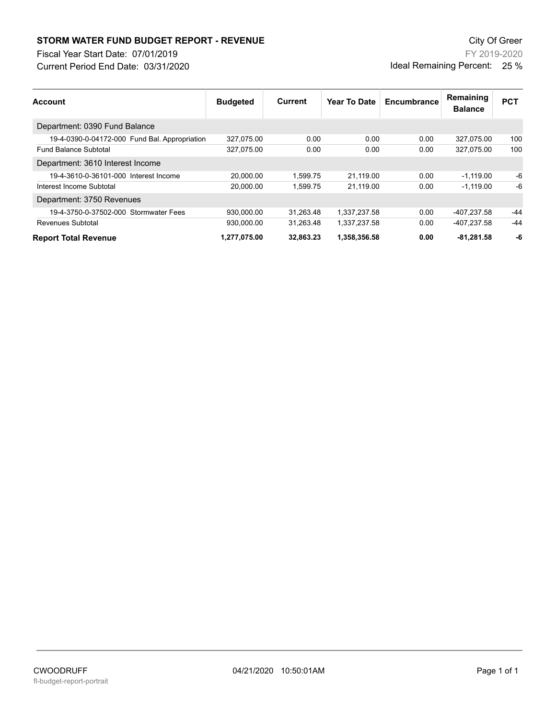## **STORM WATER FUND BUDGET REPORT - REVENUE City Of Green** City Of Green

Fiscal Year Start Date: 07/01/2019

Current Period End Date: 03/31/2020

FY 2019-2020 Ideal Remaining Percent: 25 %

| <b>Account</b>                                | <b>Budgeted</b> | Current   | Year To Date | Encumbrance | Remaining<br><b>Balance</b> | <b>PCT</b> |
|-----------------------------------------------|-----------------|-----------|--------------|-------------|-----------------------------|------------|
| Department: 0390 Fund Balance                 |                 |           |              |             |                             |            |
| 19-4-0390-0-04172-000 Fund Bal. Appropriation | 327,075.00      | 0.00      | 0.00         | 0.00        | 327,075.00                  | 100        |
| <b>Fund Balance Subtotal</b>                  | 327,075.00      | 0.00      | 0.00         | 0.00        | 327.075.00                  | 100        |
| Department: 3610 Interest Income              |                 |           |              |             |                             |            |
| 19-4-3610-0-36101-000 Interest Income         | 20.000.00       | 1.599.75  | 21.119.00    | 0.00        | $-1.119.00$                 | -6         |
| Interest Income Subtotal                      | 20.000.00       | 1.599.75  | 21.119.00    | 0.00        | $-1.119.00$                 | -6         |
| Department: 3750 Revenues                     |                 |           |              |             |                             |            |
| 19-4-3750-0-37502-000 Stormwater Fees         | 930.000.00      | 31.263.48 | 1.337.237.58 | 0.00        | -407.237.58                 | -44        |
| Revenues Subtotal                             | 930,000.00      | 31,263.48 | 1,337,237.58 | 0.00        | -407,237.58                 | $-44$      |
| <b>Report Total Revenue</b>                   | 1,277,075.00    | 32.863.23 | 1,358,356.58 | 0.00        | $-81.281.58$                | -6         |